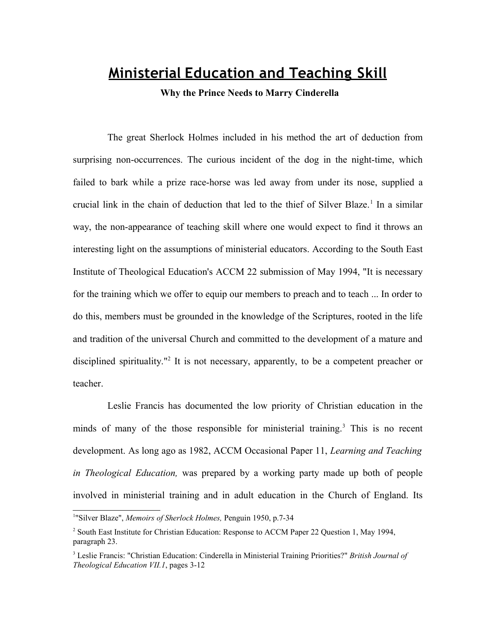## **Ministerial Education and Teaching Skill**

**Why the Prince Needs to Marry Cinderella**

The great Sherlock Holmes included in his method the art of deduction from surprising non-occurrences. The curious incident of the dog in the night-time, which failed to bark while a prize race-horse was led away from under its nose, supplied a crucial link in the chain of deduction that led to the thief of Silver Blaze.<sup>[1](#page-0-0)</sup> In a similar way, the non-appearance of teaching skill where one would expect to find it throws an interesting light on the assumptions of ministerial educators. According to the South East Institute of Theological Education's ACCM 22 submission of May 1994, "It is necessary for the training which we offer to equip our members to preach and to teach ... In order to do this, members must be grounded in the knowledge of the Scriptures, rooted in the life and tradition of the universal Church and committed to the development of a mature and disciplined spirituality."<sup>[2](#page-0-1)</sup> It is not necessary, apparently, to be a competent preacher or teacher.

Leslie Francis has documented the low priority of Christian education in the minds of many of the those responsible for ministerial training.<sup>[3](#page-0-2)</sup> This is no recent development. As long ago as 1982, ACCM Occasional Paper 11, *Learning and Teaching in Theological Education,* was prepared by a working party made up both of people involved in ministerial training and in adult education in the Church of England. Its

<span id="page-0-0"></span><sup>&</sup>lt;sup>1</sup>"Silver Blaze", Memoirs of Sherlock Holmes, Penguin 1950, p.7-34

<span id="page-0-1"></span><sup>&</sup>lt;sup>2</sup> South East Institute for Christian Education: Response to ACCM Paper 22 Question 1, May 1994, paragraph 23.

<span id="page-0-2"></span><sup>3</sup> Leslie Francis: "Christian Education: Cinderella in Ministerial Training Priorities?" *British Journal of Theological Education VII.1*, pages 3-12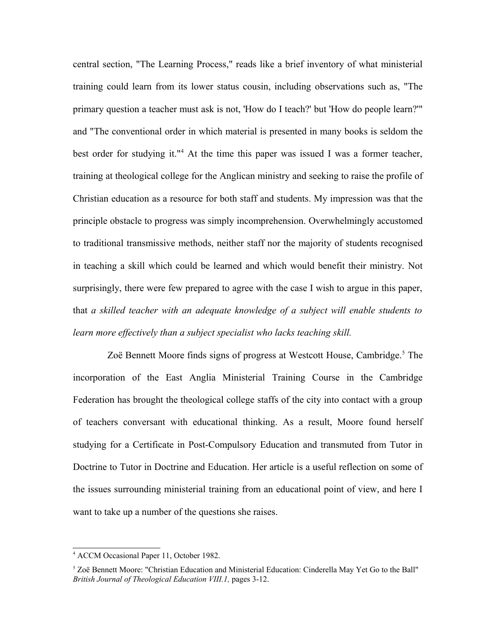central section, "The Learning Process," reads like a brief inventory of what ministerial training could learn from its lower status cousin, including observations such as, "The primary question a teacher must ask is not, 'How do I teach?' but 'How do people learn?'" and "The conventional order in which material is presented in many books is seldom the best order for studying it."<sup>[4](#page-1-0)</sup> At the time this paper was issued I was a former teacher, training at theological college for the Anglican ministry and seeking to raise the profile of Christian education as a resource for both staff and students. My impression was that the principle obstacle to progress was simply incomprehension. Overwhelmingly accustomed to traditional transmissive methods, neither staff nor the majority of students recognised in teaching a skill which could be learned and which would benefit their ministry. Not surprisingly, there were few prepared to agree with the case I wish to argue in this paper, that *a skilled teacher with an adequate knowledge of a subject will enable students to* learn more effectively than a subject specialist who lacks teaching skill.

Zoë Bennett Moore finds signs of progress at Westcott House, Cambridge.<sup>[5](#page-1-1)</sup> The incorporation of the East Anglia Ministerial Training Course in the Cambridge Federation has brought the theological college staffs of the city into contact with a group of teachers conversant with educational thinking. As a result, Moore found herself studying for a Certificate in Post-Compulsory Education and transmuted from Tutor in Doctrine to Tutor in Doctrine and Education. Her article is a useful reflection on some of the issues surrounding ministerial training from an educational point of view, and here I want to take up a number of the questions she raises.

<span id="page-1-0"></span><sup>4</sup> ACCM Occasional Paper 11, October 1982.

<span id="page-1-1"></span><sup>&</sup>lt;sup>5</sup> Zoë Bennett Moore: "Christian Education and Ministerial Education: Cinderella May Yet Go to the Ball" *British Journal of Theological Education VIII.1,* pages 3-12.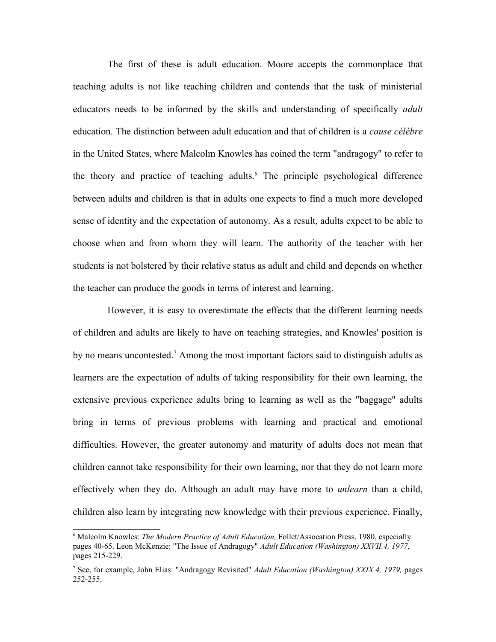The first of these is adult education. Moore accepts the commonplace that teaching adults is not like teaching children and contends that the task of ministerial educators needs to be informed by the skills and understanding of specifically *adult* education. The distinction between adult education and that of children is a *cause célèbre* in the United States, where Malcolm Knowles has coined the term "andragogy" to refer to the theory and practice of teaching adults.<sup>[6](#page-2-0)</sup> The principle psychological difference between adults and children is that in adults one expects to find a much more developed sense of identity and the expectation of autonomy. As a result, adults expect to be able to choose when and from whom they will learn. The authority of the teacher with her students is not bolstered by their relative status as adult and child and depends on whether the teacher can produce the goods in terms of interest and learning.

However, it is easy to overestimate the effects that the different learning needs of children and adults are likely to have on teaching strategies, and Knowles' position is by no means uncontested.<sup>[7](#page-2-1)</sup> Among the most important factors said to distinguish adults as learners are the expectation of adults of taking responsibility for their own learning, the extensive previous experience adults bring to learning as well as the "baggage" adults bring in terms of previous problems with learning and practical and emotional difficulties. However, the greater autonomy and maturity of adults does not mean that children cannot take responsibility for their own learning, nor that they do not learn more effectively when they do. Although an adult may have more to *unlearn* than a child, children also learn by integrating new knowledge with their previous experience. Finally,

<span id="page-2-0"></span><sup>6</sup> Malcolm Knowles: *The Modern Practice of Adult Education,* Follet/Assocation Press, 1980, especially pages 40-65. Leon McKenzie: "The Issue of Andragogy" *Adult Education (Washington) XXVII.4, 1977*, pages 215-229.

<span id="page-2-1"></span><sup>7</sup> See, for example, John Elias: "Andragogy Revisited" *Adult Education (Washington) XXIX.4, 1979,* pages 252-255.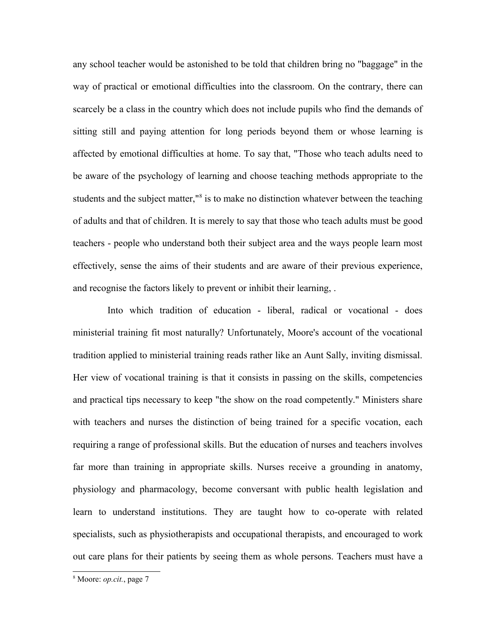any school teacher would be astonished to be told that children bring no "baggage" in the way of practical or emotional difficulties into the classroom. On the contrary, there can scarcely be a class in the country which does not include pupils who find the demands of sitting still and paying attention for long periods beyond them or whose learning is affected by emotional difficulties at home. To say that, "Those who teach adults need to be aware of the psychology of learning and choose teaching methods appropriate to the students and the subject matter,"<sup>[8](#page-3-0)</sup> is to make no distinction whatever between the teaching of adults and that of children. It is merely to say that those who teach adults must be good teachers - people who understand both their subject area and the ways people learn most effectively, sense the aims of their students and are aware of their previous experience, and recognise the factors likely to prevent or inhibit their learning, .

Into which tradition of education - liberal, radical or vocational - does ministerial training fit most naturally? Unfortunately, Moore's account of the vocational tradition applied to ministerial training reads rather like an Aunt Sally, inviting dismissal. Her view of vocational training is that it consists in passing on the skills, competencies and practical tips necessary to keep "the show on the road competently." Ministers share with teachers and nurses the distinction of being trained for a specific vocation, each requiring a range of professional skills. But the education of nurses and teachers involves far more than training in appropriate skills. Nurses receive a grounding in anatomy, physiology and pharmacology, become conversant with public health legislation and learn to understand institutions. They are taught how to co-operate with related specialists, such as physiotherapists and occupational therapists, and encouraged to work out care plans for their patients by seeing them as whole persons. Teachers must have a

<span id="page-3-0"></span><sup>8</sup> Moore: *op.cit.*, page 7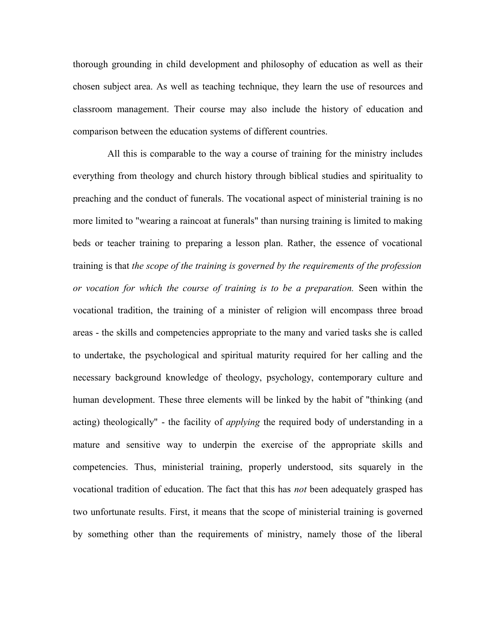thorough grounding in child development and philosophy of education as well as their chosen subject area. As well as teaching technique, they learn the use of resources and classroom management. Their course may also include the history of education and comparison between the education systems of different countries.

All this is comparable to the way a course of training for the ministry includes everything from theology and church history through biblical studies and spirituality to preaching and the conduct of funerals. The vocational aspect of ministerial training is no more limited to "wearing a raincoat at funerals" than nursing training is limited to making beds or teacher training to preparing a lesson plan. Rather, the essence of vocational training is that *the scope of the training is governed by the requirements of the profession or vocation for which the course of training is to be a preparation.* Seen within the vocational tradition, the training of a minister of religion will encompass three broad areas - the skills and competencies appropriate to the many and varied tasks she is called to undertake, the psychological and spiritual maturity required for her calling and the necessary background knowledge of theology, psychology, contemporary culture and human development. These three elements will be linked by the habit of "thinking (and acting) theologically" - the facility of *applying* the required body of understanding in a mature and sensitive way to underpin the exercise of the appropriate skills and competencies. Thus, ministerial training, properly understood, sits squarely in the vocational tradition of education. The fact that this has *not* been adequately grasped has two unfortunate results. First, it means that the scope of ministerial training is governed by something other than the requirements of ministry, namely those of the liberal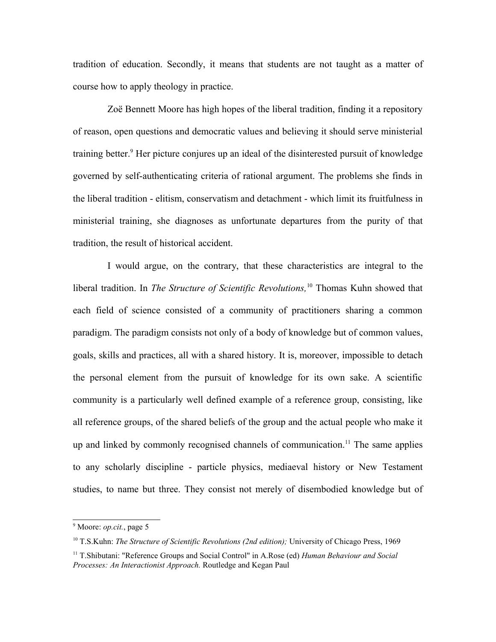tradition of education. Secondly, it means that students are not taught as a matter of course how to apply theology in practice.

Zoë Bennett Moore has high hopes of the liberal tradition, finding it a repository of reason, open questions and democratic values and believing it should serve ministerial training better.<sup>[9](#page-5-0)</sup> Her picture conjures up an ideal of the disinterested pursuit of knowledge governed by self-authenticating criteria of rational argument. The problems she finds in the liberal tradition - elitism, conservatism and detachment - which limit its fruitfulness in ministerial training, she diagnoses as unfortunate departures from the purity of that tradition, the result of historical accident.

I would argue, on the contrary, that these characteristics are integral to the liberal tradition. In *The Structure of Scientific Revolutions,*[10](#page-5-1) Thomas Kuhn showed that each field of science consisted of a community of practitioners sharing a common paradigm. The paradigm consists not only of a body of knowledge but of common values, goals, skills and practices, all with a shared history. It is, moreover, impossible to detach the personal element from the pursuit of knowledge for its own sake. A scientific community is a particularly well defined example of a reference group, consisting, like all reference groups, of the shared beliefs of the group and the actual people who make it up and linked by commonly recognised channels of communication.<sup>[11](#page-5-2)</sup> The same applies to any scholarly discipline - particle physics, mediaeval history or New Testament studies, to name but three. They consist not merely of disembodied knowledge but of

<span id="page-5-0"></span><sup>9</sup> Moore: *op.cit.*, page 5

<span id="page-5-1"></span><sup>&</sup>lt;sup>10</sup> T.S.Kuhn: *The Structure of Scientific Revolutions (2nd edition)*; University of Chicago Press, 1969

<span id="page-5-2"></span><sup>11</sup> T.Shibutani: "Reference Groups and Social Control" in A.Rose (ed) *Human Behaviour and Social Processes: An Interactionist Approach.* Routledge and Kegan Paul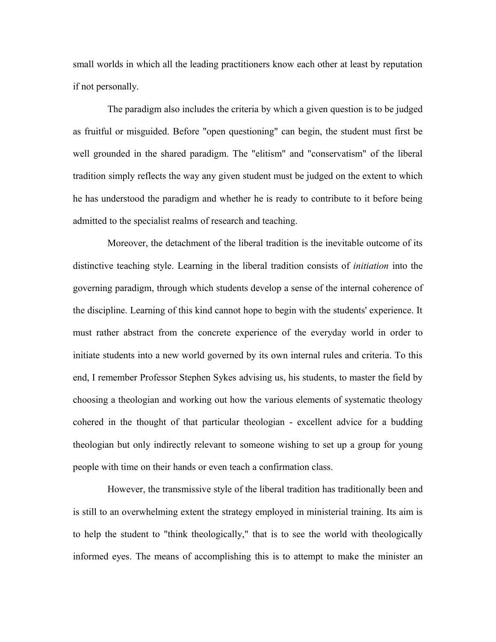small worlds in which all the leading practitioners know each other at least by reputation if not personally.

The paradigm also includes the criteria by which a given question is to be judged as fruitful or misguided. Before "open questioning" can begin, the student must first be well grounded in the shared paradigm. The "elitism" and "conservatism" of the liberal tradition simply reflects the way any given student must be judged on the extent to which he has understood the paradigm and whether he is ready to contribute to it before being admitted to the specialist realms of research and teaching.

Moreover, the detachment of the liberal tradition is the inevitable outcome of its distinctive teaching style. Learning in the liberal tradition consists of *initiation* into the governing paradigm, through which students develop a sense of the internal coherence of the discipline. Learning of this kind cannot hope to begin with the students' experience. It must rather abstract from the concrete experience of the everyday world in order to initiate students into a new world governed by its own internal rules and criteria. To this end, I remember Professor Stephen Sykes advising us, his students, to master the field by choosing a theologian and working out how the various elements of systematic theology cohered in the thought of that particular theologian - excellent advice for a budding theologian but only indirectly relevant to someone wishing to set up a group for young people with time on their hands or even teach a confirmation class.

However, the transmissive style of the liberal tradition has traditionally been and is still to an overwhelming extent the strategy employed in ministerial training. Its aim is to help the student to "think theologically," that is to see the world with theologically informed eyes. The means of accomplishing this is to attempt to make the minister an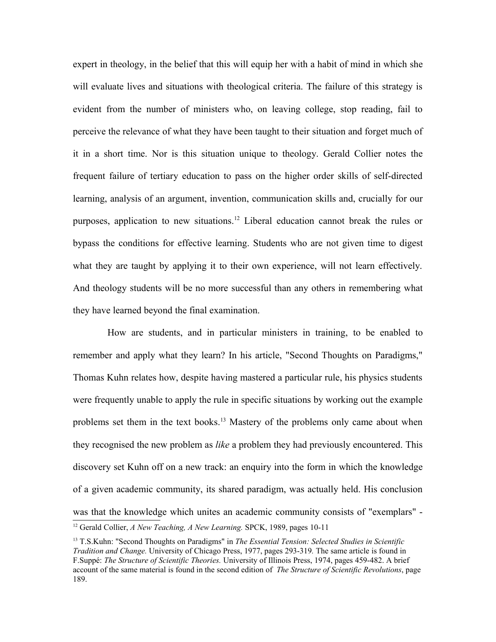expert in theology, in the belief that this will equip her with a habit of mind in which she will evaluate lives and situations with theological criteria. The failure of this strategy is evident from the number of ministers who, on leaving college, stop reading, fail to perceive the relevance of what they have been taught to their situation and forget much of it in a short time. Nor is this situation unique to theology. Gerald Collier notes the frequent failure of tertiary education to pass on the higher order skills of self-directed learning, analysis of an argument, invention, communication skills and, crucially for our purposes, application to new situations.<sup>[12](#page-7-0)</sup> Liberal education cannot break the rules or bypass the conditions for effective learning. Students who are not given time to digest what they are taught by applying it to their own experience, will not learn effectively. And theology students will be no more successful than any others in remembering what they have learned beyond the final examination.

How are students, and in particular ministers in training, to be enabled to remember and apply what they learn? In his article, "Second Thoughts on Paradigms," Thomas Kuhn relates how, despite having mastered a particular rule, his physics students were frequently unable to apply the rule in specific situations by working out the example problems set them in the text books.<sup>[13](#page-7-1)</sup> Mastery of the problems only came about when they recognised the new problem as *like* a problem they had previously encountered. This discovery set Kuhn off on a new track: an enquiry into the form in which the knowledge of a given academic community, its shared paradigm, was actually held. His conclusion was that the knowledge which unites an academic community consists of "exemplars" -

<span id="page-7-0"></span><sup>12</sup> Gerald Collier, *A New Teaching, A New Learning.* SPCK, 1989, pages 10-11

<span id="page-7-1"></span><sup>13</sup> T.S.Kuhn: "Second Thoughts on Paradigms" in *The Essential Tension: Selected Studies in Scientific Tradition and Change.* University of Chicago Press, 1977, pages 293-319*.* The same article is found in F.Suppé: *The Structure of Scientific Theories.* University of Illinois Press, 1974, pages 459-482. A brief account of the same material is found in the second edition of *The Structure of Scientific Revolutions*, page 189.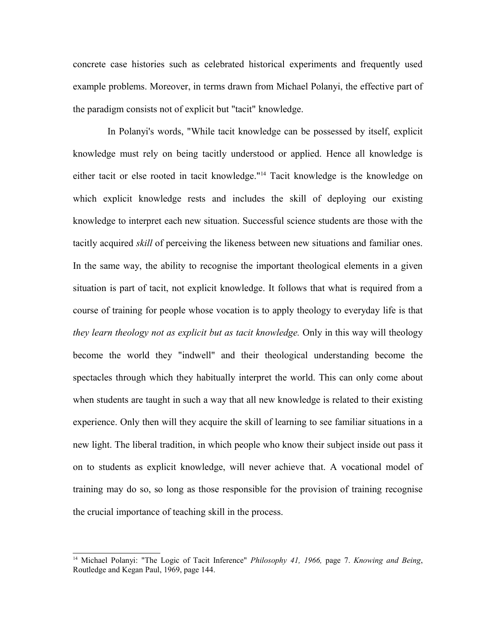concrete case histories such as celebrated historical experiments and frequently used example problems. Moreover, in terms drawn from Michael Polanyi, the effective part of the paradigm consists not of explicit but "tacit" knowledge.

In Polanyi's words, "While tacit knowledge can be possessed by itself, explicit knowledge must rely on being tacitly understood or applied. Hence all knowledge is either tacit or else rooted in tacit knowledge."[14](#page-8-0) Tacit knowledge is the knowledge on which explicit knowledge rests and includes the skill of deploying our existing knowledge to interpret each new situation. Successful science students are those with the tacitly acquired *skill* of perceiving the likeness between new situations and familiar ones. In the same way, the ability to recognise the important theological elements in a given situation is part of tacit, not explicit knowledge. It follows that what is required from a course of training for people whose vocation is to apply theology to everyday life is that *they learn theology not as explicit but as tacit knowledge.* Only in this way will theology become the world they "indwell" and their theological understanding become the spectacles through which they habitually interpret the world. This can only come about when students are taught in such a way that all new knowledge is related to their existing experience. Only then will they acquire the skill of learning to see familiar situations in a new light. The liberal tradition, in which people who know their subject inside out pass it on to students as explicit knowledge, will never achieve that. A vocational model of training may do so, so long as those responsible for the provision of training recognise the crucial importance of teaching skill in the process.

<span id="page-8-0"></span><sup>14</sup> Michael Polanyi: "The Logic of Tacit Inference" *Philosophy 41, 1966,* page 7. *Knowing and Being*, Routledge and Kegan Paul, 1969, page 144.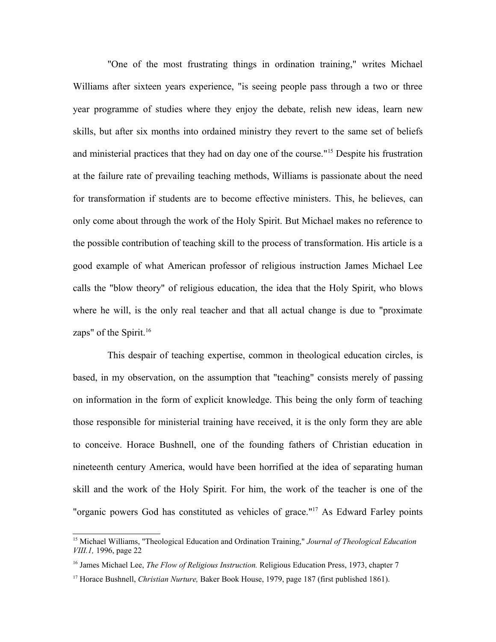"One of the most frustrating things in ordination training," writes Michael Williams after sixteen years experience, "is seeing people pass through a two or three year programme of studies where they enjoy the debate, relish new ideas, learn new skills, but after six months into ordained ministry they revert to the same set of beliefs and ministerial practices that they had on day one of the course."[15](#page-9-0) Despite his frustration at the failure rate of prevailing teaching methods, Williams is passionate about the need for transformation if students are to become effective ministers. This, he believes, can only come about through the work of the Holy Spirit. But Michael makes no reference to the possible contribution of teaching skill to the process of transformation. His article is a good example of what American professor of religious instruction James Michael Lee calls the "blow theory" of religious education, the idea that the Holy Spirit, who blows where he will, is the only real teacher and that all actual change is due to "proximate zaps" of the Spirit.<sup>[16](#page-9-1)</sup>

This despair of teaching expertise, common in theological education circles, is based, in my observation, on the assumption that "teaching" consists merely of passing on information in the form of explicit knowledge. This being the only form of teaching those responsible for ministerial training have received, it is the only form they are able to conceive. Horace Bushnell, one of the founding fathers of Christian education in nineteenth century America, would have been horrified at the idea of separating human skill and the work of the Holy Spirit. For him, the work of the teacher is one of the "organic powers God has constituted as vehicles of grace."[17](#page-9-2) As Edward Farley points

<span id="page-9-0"></span><sup>15</sup> Michael Williams, "Theological Education and Ordination Training," *Journal of Theological Education VIII.1,* 1996, page 22

<span id="page-9-1"></span><sup>&</sup>lt;sup>16</sup> James Michael Lee, *The Flow of Religious Instruction*. Religious Education Press, 1973, chapter 7

<span id="page-9-2"></span><sup>&</sup>lt;sup>17</sup> Horace Bushnell, *Christian Nurture*, Baker Book House, 1979, page 187 (first published 1861).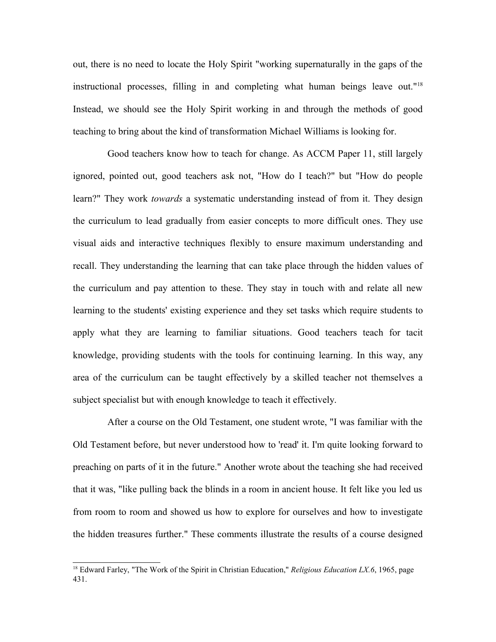out, there is no need to locate the Holy Spirit "working supernaturally in the gaps of the instructional processes, filling in and completing what human beings leave out."[18](#page-10-0) Instead, we should see the Holy Spirit working in and through the methods of good teaching to bring about the kind of transformation Michael Williams is looking for.

Good teachers know how to teach for change. As ACCM Paper 11, still largely ignored, pointed out, good teachers ask not, "How do I teach?" but "How do people learn?" They work *towards* a systematic understanding instead of from it. They design the curriculum to lead gradually from easier concepts to more difficult ones. They use visual aids and interactive techniques flexibly to ensure maximum understanding and recall. They understanding the learning that can take place through the hidden values of the curriculum and pay attention to these. They stay in touch with and relate all new learning to the students' existing experience and they set tasks which require students to apply what they are learning to familiar situations. Good teachers teach for tacit knowledge, providing students with the tools for continuing learning. In this way, any area of the curriculum can be taught effectively by a skilled teacher not themselves a subject specialist but with enough knowledge to teach it effectively.

After a course on the Old Testament, one student wrote, "I was familiar with the Old Testament before, but never understood how to 'read' it. I'm quite looking forward to preaching on parts of it in the future." Another wrote about the teaching she had received that it was, "like pulling back the blinds in a room in ancient house. It felt like you led us from room to room and showed us how to explore for ourselves and how to investigate the hidden treasures further." These comments illustrate the results of a course designed

<span id="page-10-0"></span><sup>&</sup>lt;sup>18</sup> Edward Farley, "The Work of the Spirit in Christian Education," *Religious Education LX.6*, 1965, page 431.